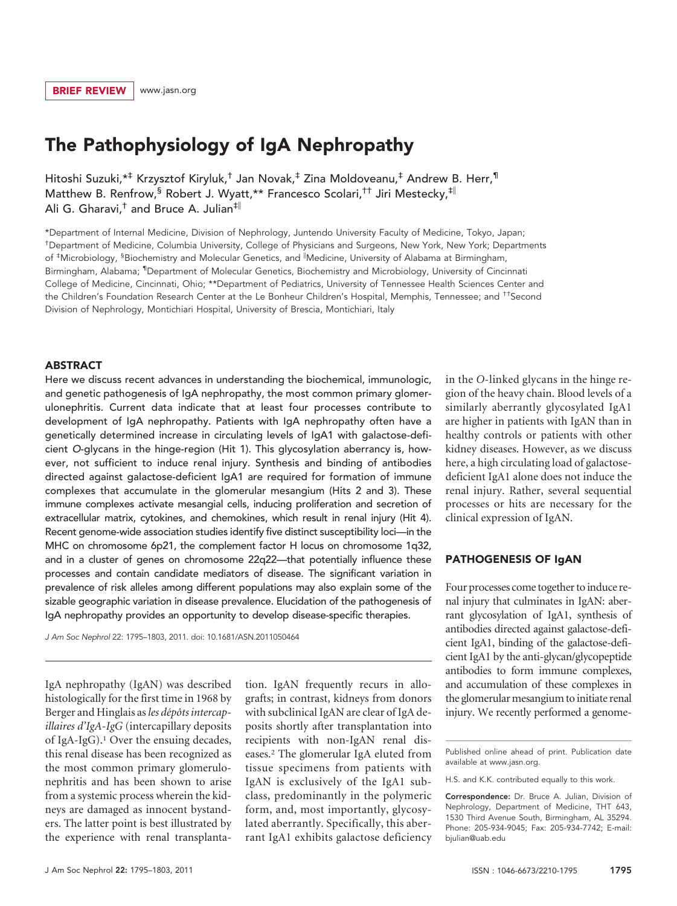# The Pathophysiology of IgA Nephropathy

Hitoshi Suzuki,\*‡ Krzysztof Kiryluk,† Jan Novak,‡ Zina Moldoveanu,‡ Andrew B. Herr,¶ Matthew B. Renfrow,<sup>§</sup> Robert J. Wyatt,\*\* Francesco Scolari,<sup>††</sup> Jiri Mestecky,<sup>‡||</sup> Ali G. Gharavi, $^{\dagger}$  and Bruce A. Julian<sup>‡||</sup>

\*Department of Internal Medicine, Division of Nephrology, Juntendo University Faculty of Medicine, Tokyo, Japan; † Department of Medicine, Columbia University, College of Physicians and Surgeons, New York, New York; Departments of <sup>‡</sup>Microbiology, <sup>§</sup>Biochemistry and Molecular Genetics, and <sup>II</sup>Medicine, University of Alabama at Birmingham, Birmingham, Alabama; <sup>1</sup>Department of Molecular Genetics, Biochemistry and Microbiology, University of Cincinnati College of Medicine, Cincinnati, Ohio; \*\*Department of Pediatrics, University of Tennessee Health Sciences Center and the Children's Foundation Research Center at the Le Bonheur Children's Hospital, Memphis, Tennessee; and <sup>††</sup>Second Division of Nephrology, Montichiari Hospital, University of Brescia, Montichiari, Italy

### **ABSTRACT**

Here we discuss recent advances in understanding the biochemical, immunologic, and genetic pathogenesis of IgA nephropathy, the most common primary glomerulonephritis. Current data indicate that at least four processes contribute to development of IgA nephropathy. Patients with IgA nephropathy often have a genetically determined increase in circulating levels of IgA1 with galactose-deficient *O*-glycans in the hinge-region (Hit 1). This glycosylation aberrancy is, however, not sufficient to induce renal injury. Synthesis and binding of antibodies directed against galactose-deficient IgA1 are required for formation of immune complexes that accumulate in the glomerular mesangium (Hits 2 and 3). These immune complexes activate mesangial cells, inducing proliferation and secretion of extracellular matrix, cytokines, and chemokines, which result in renal injury (Hit 4). Recent genome-wide association studies identify five distinct susceptibility loci—in the MHC on chromosome 6p21, the complement factor H locus on chromosome 1q32, and in a cluster of genes on chromosome 22q22—that potentially influence these processes and contain candidate mediators of disease. The significant variation in prevalence of risk alleles among different populations may also explain some of the sizable geographic variation in disease prevalence. Elucidation of the pathogenesis of IgA nephropathy provides an opportunity to develop disease-specific therapies.

*J Am Soc Nephrol* 22: 1795–1803, 2011. doi: 10.1681/ASN.2011050464

IgA nephropathy (IgAN) was described histologically for the first time in 1968 by Berger and Hinglais as les dépôts intercap*illaires d'IgA-IgG* (intercapillary deposits of IgA-IgG).1 Over the ensuing decades, this renal disease has been recognized as the most common primary glomerulonephritis and has been shown to arise from a systemic process wherein the kidneys are damaged as innocent bystanders. The latter point is best illustrated by the experience with renal transplanta-

tion. IgAN frequently recurs in allografts; in contrast, kidneys from donors with subclinical IgAN are clear of IgA deposits shortly after transplantation into recipients with non-IgAN renal diseases.2 The glomerular IgA eluted from tissue specimens from patients with IgAN is exclusively of the IgA1 subclass, predominantly in the polymeric form, and, most importantly, glycosylated aberrantly. Specifically, this aberrant IgA1 exhibits galactose deficiency in the *O*-linked glycans in the hinge region of the heavy chain. Blood levels of a similarly aberrantly glycosylated IgA1 are higher in patients with IgAN than in healthy controls or patients with other kidney diseases. However, as we discuss here, a high circulating load of galactosedeficient IgA1 alone does not induce the renal injury. Rather, several sequential processes or hits are necessary for the clinical expression of IgAN.

### PATHOGENESIS OF IgAN

Four processes come together to induce renal injury that culminates in IgAN: aberrant glycosylation of IgA1, synthesis of antibodies directed against galactose-deficient IgA1, binding of the galactose-deficient IgA1 by the anti-glycan/glycopeptide antibodies to form immune complexes, and accumulation of these complexes in the glomerular mesangium to initiate renal injury. We recently performed a genome-

Published online ahead of print. Publication date available at www.jasn.org.

H.S. and K.K. contributed equally to this work.

Correspondence: Dr. Bruce A. Julian, Division of Nephrology, Department of Medicine, THT 643, 1530 Third Avenue South, Birmingham, AL 35294. Phone: 205-934-9045; Fax: 205-934-7742; E-mail: bjulian@uab.edu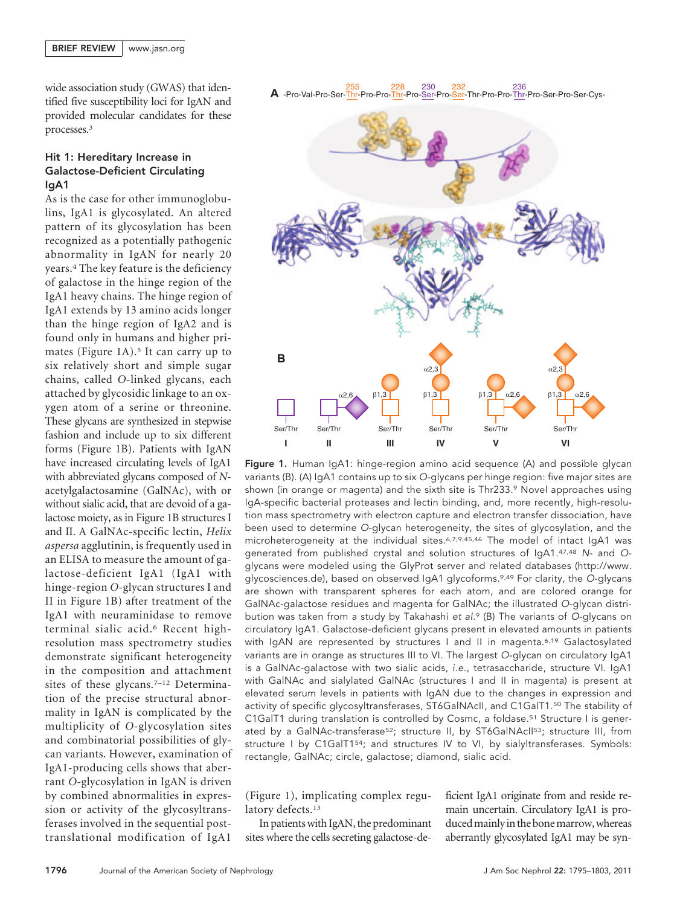wide association study (GWAS) that identified five susceptibility loci for IgAN and provided molecular candidates for these processes.3

# Hit 1: Hereditary Increase in Galactose-Deficient Circulating IgA1

As is the case for other immunoglobulins, IgA1 is glycosylated. An altered pattern of its glycosylation has been recognized as a potentially pathogenic abnormality in IgAN for nearly 20 years.4 The key feature is the deficiency of galactose in the hinge region of the IgA1 heavy chains. The hinge region of IgA1 extends by 13 amino acids longer than the hinge region of IgA2 and is found only in humans and higher primates (Figure 1A).<sup>5</sup> It can carry up to six relatively short and simple sugar chains, called *O*-linked glycans, each attached by glycosidic linkage to an oxygen atom of a serine or threonine. These glycans are synthesized in stepwise fashion and include up to six different forms (Figure 1B). Patients with IgAN have increased circulating levels of IgA1 with abbreviated glycans composed of *N*acetylgalactosamine (GalNAc), with or without sialic acid, that are devoid of a galactose moiety, as in Figure 1B structures I and II. A GalNAc-specific lectin, *Helix aspersa* agglutinin, is frequently used in an ELISA to measure the amount of galactose-deficient IgA1 (IgA1 with hinge-region *O*-glycan structures I and II in Figure 1B) after treatment of the IgA1 with neuraminidase to remove terminal sialic acid.6 Recent highresolution mass spectrometry studies demonstrate significant heterogeneity in the composition and attachment sites of these glycans.<sup>7-12</sup> Determination of the precise structural abnormality in IgAN is complicated by the multiplicity of *O*-glycosylation sites and combinatorial possibilities of glycan variants. However, examination of IgA1-producing cells shows that aberrant *O*-glycosylation in IgAN is driven by combined abnormalities in expression or activity of the glycosyltransferases involved in the sequential posttranslational modification of IgA1

**A** -Pro-Val-Pro-Ser-Thr-Pro-Pro-Thr-Pro-Ser-Pro-Ser-Thr-Pro-Pro-Thr-Pro-Ser-Pro-Ser-Cys-255 228 230 232 236



Figure 1. Human IgA1: hinge-region amino acid sequence (A) and possible glycan variants (B). (A) IgA1 contains up to six *O*-glycans per hinge region: five major sites are shown (in orange or magenta) and the sixth site is Thr233.9 Novel approaches using IgA-specific bacterial proteases and lectin binding, and, more recently, high-resolution mass spectrometry with electron capture and electron transfer dissociation, have been used to determine *O*-glycan heterogeneity, the sites of glycosylation, and the microheterogeneity at the individual sites.6,7,9,45,46 The model of intact IgA1 was generated from published crystal and solution structures of IgA1.47,48 *N*- and *O*glycans were modeled using the GlyProt server and related databases (http://www. glycosciences.de), based on observed IgA1 glycoforms.9,49 For clarity, the *O*-glycans are shown with transparent spheres for each atom, and are colored orange for GalNAc-galactose residues and magenta for GalNAc; the illustrated *O*-glycan distribution was taken from a study by Takahashi *et al.*<sup>9</sup> (B) The variants of *O*-glycans on circulatory IgA1. Galactose-deficient glycans present in elevated amounts in patients with IgAN are represented by structures I and II in magenta.<sup>6,19</sup> Galactosylated variants are in orange as structures III to VI. The largest *O*-glycan on circulatory IgA1 is a GalNAc-galactose with two sialic acids, *i.e.*, tetrasaccharide, structure VI. IgA1 with GalNAc and sialylated GalNAc (structures I and II in magenta) is present at elevated serum levels in patients with IgAN due to the changes in expression and activity of specific glycosyltransferases, ST6GalNAcII, and C1GalT1.50 The stability of C1GalT1 during translation is controlled by Cosmc, a foldase.51 Structure I is generated by a GalNAc-transferase<sup>52</sup>; structure II, by ST6GalNAcII<sup>53</sup>; structure III, from structure I by C1GaIT1<sup>54</sup>; and structures IV to VI, by sialyltransferases. Symbols: rectangle, GalNAc; circle, galactose; diamond, sialic acid.

(Figure 1), implicating complex regulatory defects.<sup>13</sup>

In patientswith IgAN, the predominant sites where the cells secreting galactose-deficient IgA1 originate from and reside remain uncertain. Circulatory IgA1 is produced mainly in the bone marrow, whereas aberrantly glycosylated IgA1 may be syn-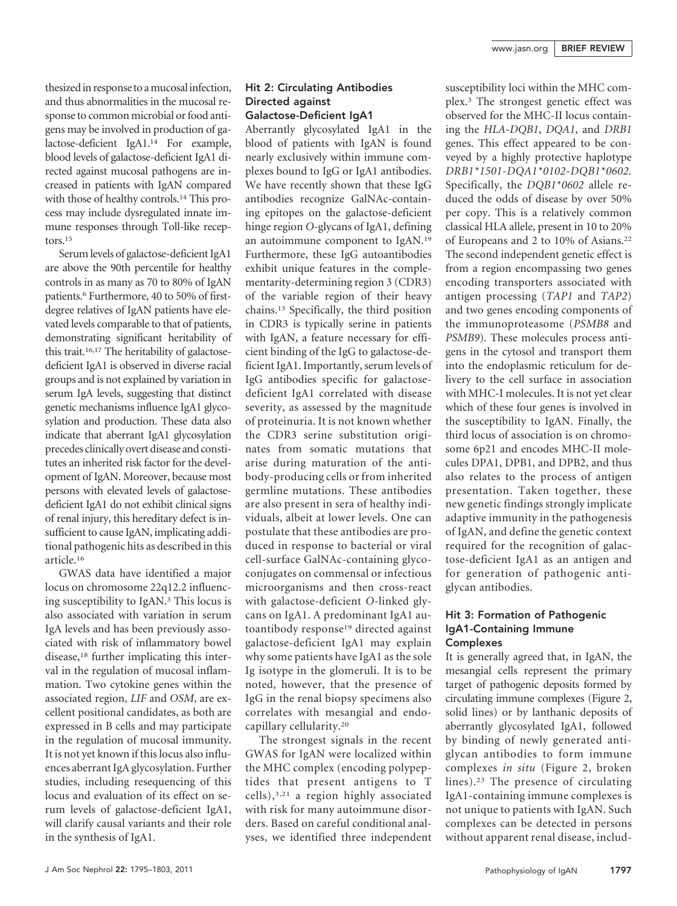thesized in response to a mucosal infection, and thus abnormalities in the mucosal response to common microbial or food antigens may be involved in production of galactose-deficient IgA1.14 For example, blood levels of galactose-deficient IgA1 directed against mucosal pathogens are increased in patients with IgAN compared with those of healthy controls.<sup>14</sup> This process may include dysregulated innate immune responses through Toll-like receptors.15

Serum levels of galactose-deficient IgA1 are above the 90th percentile for healthy controls in as many as 70 to 80% of IgAN patients.<sup>6</sup> Furthermore, 40 to 50% of firstdegree relatives of IgAN patients have elevated levels comparable to that of patients, demonstrating significant heritability of this trait.16,17 The heritability of galactosedeficient IgA1 is observed in diverse racial groups and is not explained by variation in serum IgA levels, suggesting that distinct genetic mechanisms influence IgA1 glycosylation and production. These data also indicate that aberrant IgA1 glycosylation precedes clinically overt disease and constitutes an inherited risk factor for the development of IgAN. Moreover, because most persons with elevated levels of galactosedeficient IgA1 do not exhibit clinical signs of renal injury, this hereditary defect is insufficient to cause IgAN, implicating additional pathogenic hits as described in this article.16

GWAS data have identified a major locus on chromosome 22q12.2 influencing susceptibility to IgAN.3 This locus is also associated with variation in serum IgA levels and has been previously associated with risk of inflammatory bowel disease,18 further implicating this interval in the regulation of mucosal inflammation. Two cytokine genes within the associated region, *LIF* and *OSM*, are excellent positional candidates, as both are expressed in B cells and may participate in the regulation of mucosal immunity. It is not yet known if this locus also influences aberrant IgA glycosylation. Further studies, including resequencing of this locus and evaluation of its effect on serum levels of galactose-deficient IgA1, will clarify causal variants and their role in the synthesis of IgA1.

# Hit 2: Circulating Antibodies Directed against Galactose-Deficient IgA1

Aberrantly glycosylated IgA1 in the blood of patients with IgAN is found nearly exclusively within immune complexes bound to IgG or IgA1 antibodies. We have recently shown that these IgG antibodies recognize GalNAc-containing epitopes on the galactose-deficient hinge region *O*-glycans of IgA1, defining an autoimmune component to IgAN.19 Furthermore, these IgG autoantibodies exhibit unique features in the complementarity-determining region 3 (CDR3) of the variable region of their heavy chains.13 Specifically, the third position in CDR3 is typically serine in patients with IgAN, a feature necessary for efficient binding of the IgG to galactose-deficient IgA1. Importantly, serum levels of IgG antibodies specific for galactosedeficient IgA1 correlated with disease severity, as assessed by the magnitude of proteinuria. It is not known whether the CDR3 serine substitution originates from somatic mutations that arise during maturation of the antibody-producing cells or from inherited germline mutations. These antibodies are also present in sera of healthy individuals, albeit at lower levels. One can postulate that these antibodies are produced in response to bacterial or viral cell-surface GalNAc-containing glycoconjugates on commensal or infectious microorganisms and then cross-react with galactose-deficient *O*-linked glycans on IgA1. A predominant IgA1 autoantibody response<sup>19</sup> directed against galactose-deficient IgA1 may explain why some patients have IgA1 as the sole Ig isotype in the glomeruli. It is to be noted, however, that the presence of IgG in the renal biopsy specimens also correlates with mesangial and endocapillary cellularity.20

The strongest signals in the recent GWAS for IgAN were localized within the MHC complex (encoding polypeptides that present antigens to T cells),3,21 a region highly associated with risk for many autoimmune disorders. Based on careful conditional analyses, we identified three independent susceptibility loci within the MHC complex.3 The strongest genetic effect was observed for the MHC-II locus containing the *HLA-DQB1*, *DQA1*, and *DRB1* genes. This effect appeared to be conveyed by a highly protective haplotype *DRB1\*1501-DQA1\*0102-DQB1\*0602.* Specifically, the *DQB1\*0602* allele reduced the odds of disease by over 50% per copy. This is a relatively common classical HLA allele, present in 10 to 20% of Europeans and 2 to 10% of Asians.22 The second independent genetic effect is from a region encompassing two genes encoding transporters associated with antigen processing (*TAP1* and *TAP2*) and two genes encoding components of the immunoproteasome (*PSMB8* and *PSMB9*). These molecules process antigens in the cytosol and transport them into the endoplasmic reticulum for delivery to the cell surface in association with MHC-I molecules. It is not yet clear which of these four genes is involved in the susceptibility to IgAN. Finally, the third locus of association is on chromosome 6p21 and encodes MHC-II molecules DPA1, DPB1, and DPB2, and thus also relates to the process of antigen presentation. Taken together, these new genetic findings strongly implicate adaptive immunity in the pathogenesis of IgAN, and define the genetic context required for the recognition of galactose-deficient IgA1 as an antigen and for generation of pathogenic antiglycan antibodies.

# Hit 3: Formation of Pathogenic IgA1-Containing Immune Complexes

It is generally agreed that, in IgAN, the mesangial cells represent the primary target of pathogenic deposits formed by circulating immune complexes (Figure 2, solid lines) or by lanthanic deposits of aberrantly glycosylated IgA1, followed by binding of newly generated antiglycan antibodies to form immune complexes *in situ* (Figure 2, broken lines).23 The presence of circulating IgA1-containing immune complexes is not unique to patients with IgAN. Such complexes can be detected in persons without apparent renal disease, includ-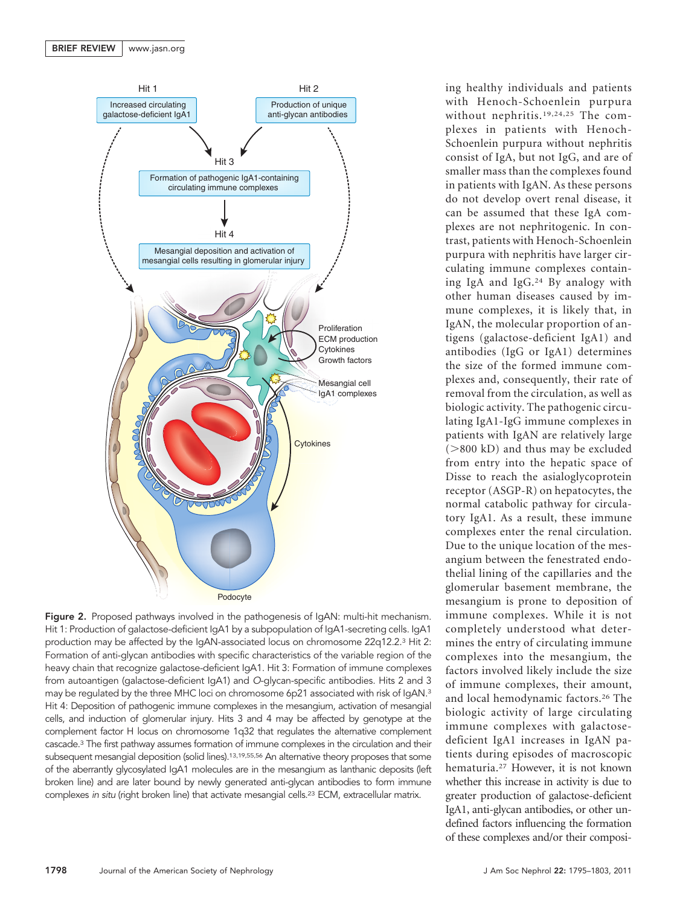

Figure 2. Proposed pathways involved in the pathogenesis of IgAN: multi-hit mechanism. Hit 1: Production of galactose-deficient IgA1 by a subpopulation of IgA1-secreting cells. IgA1 production may be affected by the IgAN-associated locus on chromosome 22q12.2.3 Hit 2: Formation of anti-glycan antibodies with specific characteristics of the variable region of the heavy chain that recognize galactose-deficient IgA1. Hit 3: Formation of immune complexes from autoantigen (galactose-deficient IgA1) and *O*-glycan-specific antibodies. Hits 2 and 3 may be regulated by the three MHC loci on chromosome 6p21 associated with risk of IgAN.<sup>3</sup> Hit 4: Deposition of pathogenic immune complexes in the mesangium, activation of mesangial cells, and induction of glomerular injury. Hits 3 and 4 may be affected by genotype at the complement factor H locus on chromosome 1q32 that regulates the alternative complement cascade.3 The first pathway assumes formation of immune complexes in the circulation and their subsequent mesangial deposition (solid lines).<sup>13,19,55,56</sup> An alternative theory proposes that some of the aberrantly glycosylated IgA1 molecules are in the mesangium as lanthanic deposits (left broken line) and are later bound by newly generated anti-glycan antibodies to form immune complexes in situ (right broken line) that activate mesangial cells.<sup>23</sup> ECM, extracellular matrix.

ing healthy individuals and patients with Henoch-Schoenlein purpura without nephritis.19,24,25 The complexes in patients with Henoch-Schoenlein purpura without nephritis consist of IgA, but not IgG, and are of smaller mass than the complexes found in patients with IgAN. As these persons do not develop overt renal disease, it can be assumed that these IgA complexes are not nephritogenic. In contrast, patients with Henoch-Schoenlein purpura with nephritis have larger circulating immune complexes containing IgA and IgG.24 By analogy with other human diseases caused by immune complexes, it is likely that, in IgAN, the molecular proportion of antigens (galactose-deficient IgA1) and antibodies (IgG or IgA1) determines the size of the formed immune complexes and, consequently, their rate of removal from the circulation, as well as biologic activity. The pathogenic circulating IgA1-IgG immune complexes in patients with IgAN are relatively large  $(>800$  kD) and thus may be excluded from entry into the hepatic space of Disse to reach the asialoglycoprotein receptor (ASGP-R) on hepatocytes, the normal catabolic pathway for circulatory IgA1. As a result, these immune complexes enter the renal circulation. Due to the unique location of the mesangium between the fenestrated endothelial lining of the capillaries and the glomerular basement membrane, the mesangium is prone to deposition of immune complexes. While it is not completely understood what determines the entry of circulating immune complexes into the mesangium, the factors involved likely include the size of immune complexes, their amount, and local hemodynamic factors.26 The biologic activity of large circulating immune complexes with galactosedeficient IgA1 increases in IgAN patients during episodes of macroscopic hematuria.27 However, it is not known whether this increase in activity is due to greater production of galactose-deficient IgA1, anti-glycan antibodies, or other undefined factors influencing the formation of these complexes and/or their composi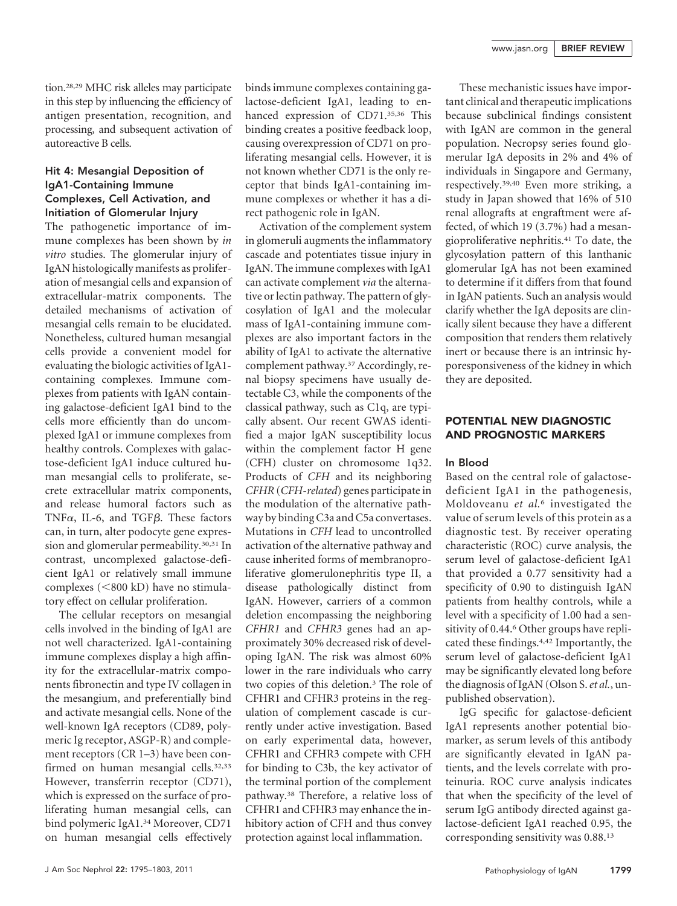tion.28,29 MHC risk alleles may participate in this step by influencing the efficiency of antigen presentation, recognition, and processing, and subsequent activation of autoreactive B cells.

# Hit 4: Mesangial Deposition of IgA1-Containing Immune Complexes, Cell Activation, and Initiation of Glomerular Injury

The pathogenetic importance of immune complexes has been shown by *in vitro* studies. The glomerular injury of IgAN histologically manifests as proliferation of mesangial cells and expansion of extracellular-matrix components. The detailed mechanisms of activation of mesangial cells remain to be elucidated. Nonetheless, cultured human mesangial cells provide a convenient model for evaluating the biologic activities of IgA1 containing complexes. Immune complexes from patients with IgAN containing galactose-deficient IgA1 bind to the cells more efficiently than do uncomplexed IgA1 or immune complexes from healthy controls. Complexes with galactose-deficient IgA1 induce cultured human mesangial cells to proliferate, secrete extracellular matrix components, and release humoral factors such as TNF $\alpha$ , IL-6, and TGF $\beta$ . These factors can, in turn, alter podocyte gene expression and glomerular permeability.<sup>30,31</sup> In contrast, uncomplexed galactose-deficient IgA1 or relatively small immune complexes (<800 kD) have no stimulatory effect on cellular proliferation.

The cellular receptors on mesangial cells involved in the binding of IgA1 are not well characterized. IgA1-containing immune complexes display a high affinity for the extracellular-matrix components fibronectin and type IV collagen in the mesangium, and preferentially bind and activate mesangial cells. None of the well-known IgA receptors (CD89, polymeric Ig receptor, ASGP-R) and complement receptors (CR 1–3) have been confirmed on human mesangial cells.<sup>32,33</sup> However, transferrin receptor (CD71), which is expressed on the surface of proliferating human mesangial cells, can bind polymeric IgA1.34 Moreover, CD71 on human mesangial cells effectively

binds immune complexes containing galactose-deficient IgA1, leading to enhanced expression of CD71.35,36 This binding creates a positive feedback loop, causing overexpression of CD71 on proliferating mesangial cells. However, it is not known whether CD71 is the only receptor that binds IgA1-containing immune complexes or whether it has a direct pathogenic role in IgAN.

Activation of the complement system in glomeruli augments the inflammatory cascade and potentiates tissue injury in IgAN. The immune complexes with IgA1 can activate complement *via* the alternative or lectin pathway. The pattern of glycosylation of IgA1 and the molecular mass of IgA1-containing immune complexes are also important factors in the ability of IgA1 to activate the alternative complement pathway.<sup>37</sup> Accordingly, renal biopsy specimens have usually detectable C3, while the components of the classical pathway, such as C1q, are typically absent. Our recent GWAS identified a major IgAN susceptibility locus within the complement factor H gene (CFH) cluster on chromosome 1q32. Products of *CFH* and its neighboring *CFHR* (*CFH-related*) genes participate in the modulation of the alternative pathway by binding C3a and C5a convertases. Mutations in *CFH* lead to uncontrolled activation of the alternative pathway and cause inherited forms of membranoproliferative glomerulonephritis type II, a disease pathologically distinct from IgAN. However, carriers of a common deletion encompassing the neighboring *CFHR1* and *CFHR3* genes had an approximately 30% decreased risk of developing IgAN. The risk was almost 60% lower in the rare individuals who carry two copies of this deletion.3 The role of CFHR1 and CFHR3 proteins in the regulation of complement cascade is currently under active investigation. Based on early experimental data, however, CFHR1 and CFHR3 compete with CFH for binding to C3b, the key activator of the terminal portion of the complement pathway.38 Therefore, a relative loss of CFHR1 and CFHR3 may enhance the inhibitory action of CFH and thus convey protection against local inflammation.

These mechanistic issues have important clinical and therapeutic implications because subclinical findings consistent with IgAN are common in the general population. Necropsy series found glomerular IgA deposits in 2% and 4% of individuals in Singapore and Germany, respectively.39,40 Even more striking, a study in Japan showed that 16% of 510 renal allografts at engraftment were affected, of which 19 (3.7%) had a mesangioproliferative nephritis.41 To date, the glycosylation pattern of this lanthanic glomerular IgA has not been examined to determine if it differs from that found in IgAN patients. Such an analysis would clarify whether the IgA deposits are clinically silent because they have a different composition that renders them relatively inert or because there is an intrinsic hyporesponsiveness of the kidney in which they are deposited.

# POTENTIAL NEW DIAGNOSTIC AND PROGNOSTIC MARKERS

## In Blood

Based on the central role of galactosedeficient IgA1 in the pathogenesis, Moldoveanu *et al.*<sup>6</sup> investigated the value of serum levels of this protein as a diagnostic test. By receiver operating characteristic (ROC) curve analysis, the serum level of galactose-deficient IgA1 that provided a 0.77 sensitivity had a specificity of 0.90 to distinguish IgAN patients from healthy controls, while a level with a specificity of 1.00 had a sensitivity of 0.44.<sup>6</sup> Other groups have replicated these findings.4,42 Importantly, the serum level of galactose-deficient IgA1 may be significantly elevated long before the diagnosis of IgAN (Olson S.*et al.*, unpublished observation).

IgG specific for galactose-deficient IgA1 represents another potential biomarker, as serum levels of this antibody are significantly elevated in IgAN patients, and the levels correlate with proteinuria. ROC curve analysis indicates that when the specificity of the level of serum IgG antibody directed against galactose-deficient IgA1 reached 0.95, the corresponding sensitivity was 0.88.13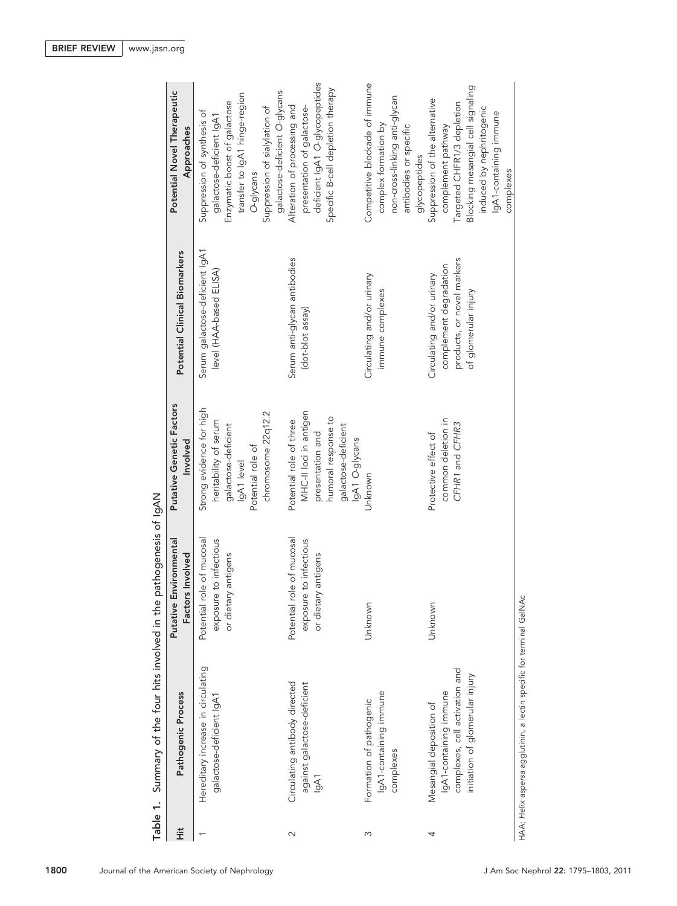| Table 1. | Summary of the four hits involved in the                                                                               | pathogenesis of IgAN                                                       |                                                                                                                                       |                                                                                                            |                                                                                                                                                                                                         |
|----------|------------------------------------------------------------------------------------------------------------------------|----------------------------------------------------------------------------|---------------------------------------------------------------------------------------------------------------------------------------|------------------------------------------------------------------------------------------------------------|---------------------------------------------------------------------------------------------------------------------------------------------------------------------------------------------------------|
| Ë        | Pathogenic Process                                                                                                     | Putative Environmental<br>Factors Involved                                 | Putative Genetic Factors<br>Involved                                                                                                  | Potential Clinical Biomarkers                                                                              | Potential Novel Therapeutic<br>Approaches                                                                                                                                                               |
|          | Hereditary increase in circulating<br>galactose-deficient IgA1                                                         | Potential role of mucosal<br>exposure to infectious<br>or dietary antigens | Strong evidence for high<br>chromosome 22q12.2<br>heritability of serum<br>galactose-deficient<br>Potential role of<br>IgA1 level     | Serum galactose-deficient IgA1<br>level (HAA-based ELISA)                                                  | galactose-deficient O-glycans<br>transfer to IgA1 hinge-region<br>Enzymatic boost of galactose<br>Suppression of sialylation of<br>Suppression of synthesis of<br>galactose-deficient IgA1<br>O-glycans |
| $\sim$   | Circulating antibody directed<br>against galactose-deficient<br>lgA1                                                   | Potential role of mucosal<br>exposure to infectious<br>or dietary antigens | MHC-II loci in antigen<br>humoral response to<br>Potential role of three<br>galactose-deficient<br>presentation and<br>lgA1 O-glycans | Serum anti-glycan antibodies<br>(dot-blot assay)                                                           | deficient IgA1 O-glycopeptides<br>Specific B-cell depletion therapy<br>Alteration of processing and<br>presentation of galactose-                                                                       |
| S        | IgA1-containing immune<br>Formation of pathogenic<br>complexes                                                         | Unknown                                                                    | Unknown                                                                                                                               | Circulating and/or urinary<br>immune complexes                                                             | Competitive blockade of immune<br>non-cross-linking anti-glycan<br>complex formation by<br>antibodies or specific<br>glycopeptides                                                                      |
| 4        | complexes, cell activation and<br>initiation of glomerular injury<br>lgA1-containing immune<br>Mesangial deposition of | Unknown                                                                    | common deletion in<br>CFHR1 and CFHR3<br>Protective effect of                                                                         | products, or novel markers<br>complement degradation<br>Circulating and/or urinary<br>of glomerular injury | Blocking mesangial cell signaling<br>Suppression of the alternative<br>Targeted CHFR1/3 depletion<br>induced by nephritogenic<br>lgA1-containing immune<br>complement pathway<br>complexes              |
|          | HAA; Helix aspersa agglutinin, a lectin specific for terminal GaINAc                                                   |                                                                            |                                                                                                                                       |                                                                                                            |                                                                                                                                                                                                         |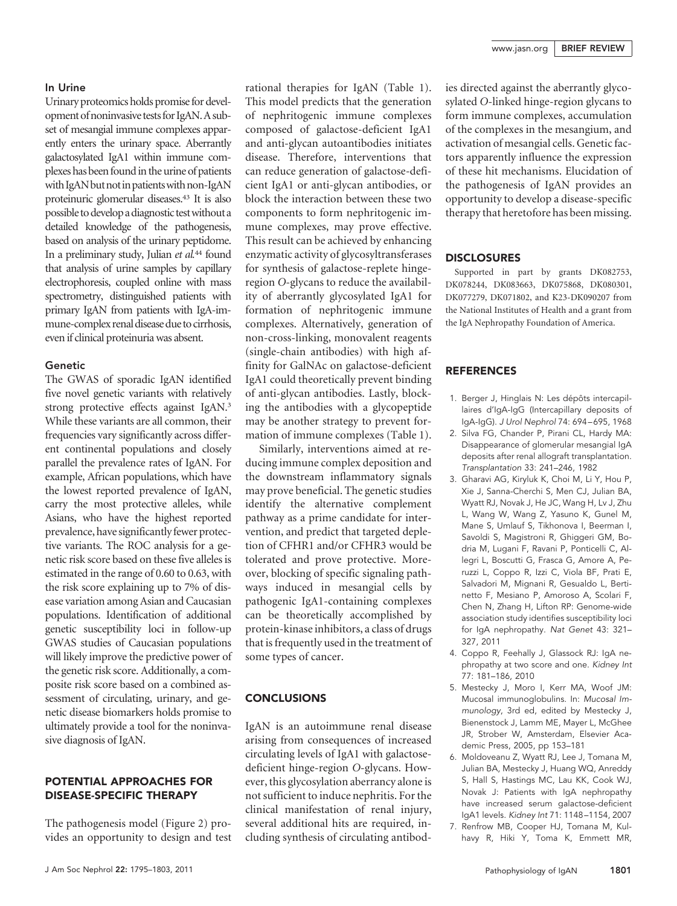## In Urine

Urinary proteomics holds promise for development of noninvasive tests for IgAN. A subset of mesangial immune complexes apparently enters the urinary space. Aberrantly galactosylated IgA1 within immune complexes has been found in the urine of patients with IgAN but not in patients with non-IgAN proteinuric glomerular diseases.43 It is also possible to develop a diagnostic test without a detailed knowledge of the pathogenesis, based on analysis of the urinary peptidome. In a preliminary study, Julian *et al.*<sup>44</sup> found that analysis of urine samples by capillary electrophoresis, coupled online with mass spectrometry, distinguished patients with primary IgAN from patients with IgA-immune-complex renal disease due to cirrhosis, even if clinical proteinuria was absent.

#### Genetic

The GWAS of sporadic IgAN identified five novel genetic variants with relatively strong protective effects against IgAN.3 While these variants are all common, their frequencies vary significantly across different continental populations and closely parallel the prevalence rates of IgAN. For example, African populations, which have the lowest reported prevalence of IgAN, carry the most protective alleles, while Asians, who have the highest reported prevalence, have significantly fewer protective variants. The ROC analysis for a genetic risk score based on these five alleles is estimated in the range of 0.60 to 0.63, with the risk score explaining up to 7% of disease variation among Asian and Caucasian populations. Identification of additional genetic susceptibility loci in follow-up GWAS studies of Caucasian populations will likely improve the predictive power of the genetic risk score. Additionally, a composite risk score based on a combined assessment of circulating, urinary, and genetic disease biomarkers holds promise to ultimately provide a tool for the noninvasive diagnosis of IgAN.

#### POTENTIAL APPROACHES FOR DISEASE-SPECIFIC THERAPY

The pathogenesis model (Figure 2) provides an opportunity to design and test

rational therapies for IgAN (Table 1). This model predicts that the generation of nephritogenic immune complexes composed of galactose-deficient IgA1 and anti-glycan autoantibodies initiates disease. Therefore, interventions that can reduce generation of galactose-deficient IgA1 or anti-glycan antibodies, or block the interaction between these two components to form nephritogenic immune complexes, may prove effective. This result can be achieved by enhancing enzymatic activity of glycosyltransferases for synthesis of galactose-replete hingeregion *O*-glycans to reduce the availability of aberrantly glycosylated IgA1 for formation of nephritogenic immune complexes. Alternatively, generation of non-cross-linking, monovalent reagents (single-chain antibodies) with high affinity for GalNAc on galactose-deficient IgA1 could theoretically prevent binding of anti-glycan antibodies. Lastly, blocking the antibodies with a glycopeptide may be another strategy to prevent formation of immune complexes (Table 1).

Similarly, interventions aimed at reducing immune complex deposition and the downstream inflammatory signals may prove beneficial. The genetic studies identify the alternative complement pathway as a prime candidate for intervention, and predict that targeted depletion of CFHR1 and/or CFHR3 would be tolerated and prove protective. Moreover, blocking of specific signaling pathways induced in mesangial cells by pathogenic IgA1-containing complexes can be theoretically accomplished by protein-kinase inhibitors, a class of drugs that is frequently used in the treatment of some types of cancer.

## **CONCLUSIONS**

IgAN is an autoimmune renal disease arising from consequences of increased circulating levels of IgA1 with galactosedeficient hinge-region *O*-glycans. However, this glycosylation aberrancy alone is not sufficient to induce nephritis. For the clinical manifestation of renal injury, several additional hits are required, including synthesis of circulating antibodies directed against the aberrantly glycosylated *O*-linked hinge-region glycans to form immune complexes, accumulation of the complexes in the mesangium, and activation of mesangial cells. Genetic factors apparently influence the expression of these hit mechanisms. Elucidation of the pathogenesis of IgAN provides an opportunity to develop a disease-specific therapy that heretofore has been missing.

#### **DISCLOSURES**

Supported in part by grants DK082753, DK078244, DK083663, DK075868, DK080301, DK077279, DK071802, and K23-DK090207 from the National Institutes of Health and a grant from the IgA Nephropathy Foundation of America.

## REFERENCES

- 1. Berger J, Hinglais N: Les dépôts intercapillaires d'IgA-IgG (Intercapillary deposits of IgA-IgG). *J Urol Nephrol* 74: 694 – 695, 1968
- 2. Silva FG, Chander P, Pirani CL, Hardy MA: Disappearance of glomerular mesangial IgA deposits after renal allograft transplantation. *Transplantation* 33: 241–246, 1982
- 3. Gharavi AG, Kiryluk K, Choi M, Li Y, Hou P, Xie J, Sanna-Cherchi S, Men CJ, Julian BA, Wyatt RJ, Novak J, He JC, Wang H, Lv J, Zhu L, Wang W, Wang Z, Yasuno K, Gunel M, Mane S, Umlauf S, Tikhonova I, Beerman I, Savoldi S, Magistroni R, Ghiggeri GM, Bodria M, Lugani F, Ravani P, Ponticelli C, Allegri L, Boscutti G, Frasca G, Amore A, Peruzzi L, Coppo R, Izzi C, Viola BF, Prati E, Salvadori M, Mignani R, Gesualdo L, Bertinetto F, Mesiano P, Amoroso A, Scolari F, Chen N, Zhang H, Lifton RP: Genome-wide association study identifies susceptibility loci for IgA nephropathy. *Nat Genet* 43: 321– 327, 2011
- 4. Coppo R, Feehally J, Glassock RJ: IgA nephropathy at two score and one. *Kidney Int* 77: 181–186, 2010
- 5. Mestecky J, Moro I, Kerr MA, Woof JM: Mucosal immunoglobulins. In: *Mucosal Immunology*, 3rd ed, edited by Mestecky J, Bienenstock J, Lamm ME, Mayer L, McGhee JR, Strober W, Amsterdam, Elsevier Academic Press, 2005, pp 153–181
- 6. Moldoveanu Z, Wyatt RJ, Lee J, Tomana M, Julian BA, Mestecky J, Huang WQ, Anreddy S, Hall S, Hastings MC, Lau KK, Cook WJ, Novak J: Patients with IgA nephropathy have increased serum galactose-deficient IgA1 levels. *Kidney Int* 71: 1148 –1154, 2007
- 7. Renfrow MB, Cooper HJ, Tomana M, Kulhavy R, Hiki Y, Toma K, Emmett MR,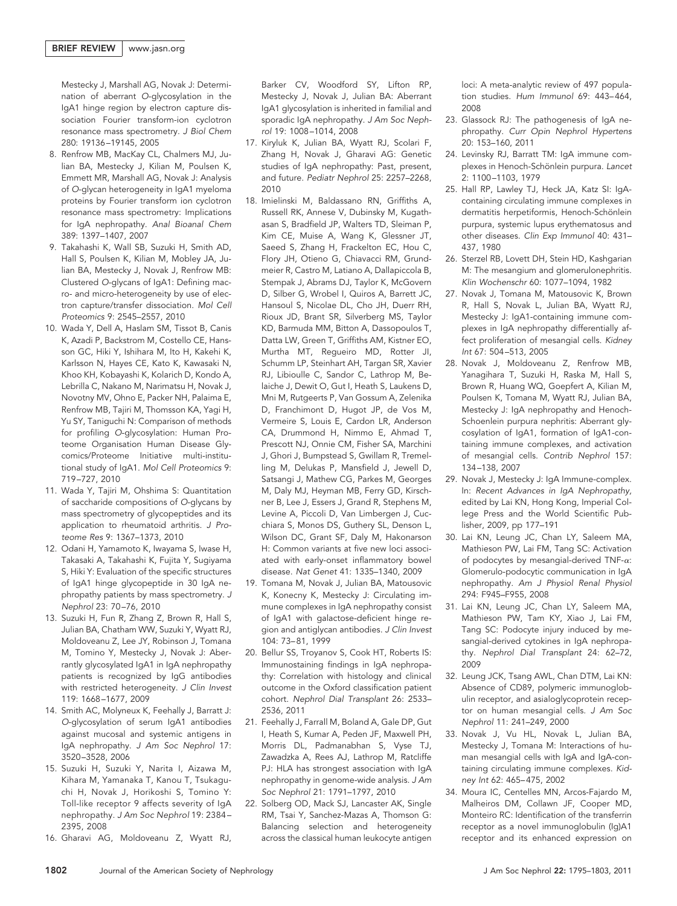Mestecky J, Marshall AG, Novak J: Determination of aberrant *O*-glycosylation in the IgA1 hinge region by electron capture dissociation Fourier transform-ion cyclotron resonance mass spectrometry. *J Biol Chem* 280: 19136 –19145, 2005

- 8. Renfrow MB, MacKay CL, Chalmers MJ, Julian BA, Mestecky J, Kilian M, Poulsen K, Emmett MR, Marshall AG, Novak J: Analysis of *O*-glycan heterogeneity in IgA1 myeloma proteins by Fourier transform ion cyclotron resonance mass spectrometry: Implications for IgA nephropathy. *Anal Bioanal Chem* 389: 1397–1407, 2007
- 9. Takahashi K, Wall SB, Suzuki H, Smith AD, Hall S, Poulsen K, Kilian M, Mobley JA, Julian BA, Mestecky J, Novak J, Renfrow MB: Clustered *O*-glycans of IgA1: Defining macro- and micro-heterogeneity by use of electron capture/transfer dissociation. *Mol Cell Proteomics* 9: 2545–2557, 2010
- 10. Wada Y, Dell A, Haslam SM, Tissot B, Canis K, Azadi P, Backstrom M, Costello CE, Hansson GC, Hiki Y, Ishihara M, Ito H, Kakehi K, Karlsson N, Hayes CE, Kato K, Kawasaki N, Khoo KH, Kobayashi K, Kolarich D, Kondo A, Lebrilla C, Nakano M, Narimatsu H, Novak J, Novotny MV, Ohno E, Packer NH, Palaima E, Renfrow MB, Tajiri M, Thomsson KA, Yagi H, Yu SY, Taniguchi N: Comparison of methods for profiling *O*-glycosylation: Human Proteome Organisation Human Disease Glycomics/Proteome Initiative multi-institutional study of IgA1. *Mol Cell Proteomics* 9: 719 –727, 2010
- 11. Wada Y, Tajiri M, Ohshima S: Quantitation of saccharide compositions of *O*-glycans by mass spectrometry of glycopeptides and its application to rheumatoid arthritis. *J Proteome Res* 9: 1367–1373, 2010
- 12. Odani H, Yamamoto K, Iwayama S, Iwase H, Takasaki A, Takahashi K, Fujita Y, Sugiyama S, Hiki Y: Evaluation of the specific structures of IgA1 hinge glycopeptide in 30 IgA nephropathy patients by mass spectrometry. *J Nephrol* 23: 70 –76, 2010
- 13. Suzuki H, Fun R, Zhang Z, Brown R, Hall S, Julian BA, Chatham WW, Suzuki Y, Wyatt RJ, Moldoveanu Z, Lee JY, Robinson J, Tomana M, Tomino Y, Mestecky J, Novak J: Aberrantly glycosylated IgA1 in IgA nephropathy patients is recognized by IgG antibodies with restricted heterogeneity. *J Clin Invest* 119: 1668 –1677, 2009
- 14. Smith AC, Molyneux K, Feehally J, Barratt J: *O*-glycosylation of serum IgA1 antibodies against mucosal and systemic antigens in IgA nephropathy. *J Am Soc Nephrol* 17: 3520 –3528, 2006
- 15. Suzuki H, Suzuki Y, Narita I, Aizawa M, Kihara M, Yamanaka T, Kanou T, Tsukaguchi H, Novak J, Horikoshi S, Tomino Y: Toll-like receptor 9 affects severity of IgA nephropathy. *J Am Soc Nephrol* 19: 2384 – 2395, 2008
- 16. Gharavi AG, Moldoveanu Z, Wyatt RJ,

Barker CV, Woodford SY, Lifton RP, Mestecky J, Novak J, Julian BA: Aberrant IgA1 glycosylation is inherited in familial and sporadic IgA nephropathy. *J Am Soc Nephrol* 19: 1008 –1014, 2008

- 17. Kiryluk K, Julian BA, Wyatt RJ, Scolari F, Zhang H, Novak J, Gharavi AG: Genetic studies of IgA nephropathy: Past, present, and future. *Pediatr Nephrol* 25: 2257–2268, 2010
- 18. Imielinski M, Baldassano RN, Griffiths A, Russell RK, Annese V, Dubinsky M, Kugathasan S, Bradfield JP, Walters TD, Sleiman P, Kim CE, Muise A, Wang K, Glessner JT, Saeed S, Zhang H, Frackelton EC, Hou C, Flory JH, Otieno G, Chiavacci RM, Grundmeier R, Castro M, Latiano A, Dallapiccola B, Stempak J, Abrams DJ, Taylor K, McGovern D, Silber G, Wrobel I, Quiros A, Barrett JC, Hansoul S, Nicolae DL, Cho JH, Duerr RH, Rioux JD, Brant SR, Silverberg MS, Taylor KD, Barmuda MM, Bitton A, Dassopoulos T, Datta LW, Green T, Griffiths AM, Kistner EO, Murtha MT, Regueiro MD, Rotter JI, Schumm LP, Steinhart AH, Targan SR, Xavier RJ, Libioulle C, Sandor C, Lathrop M, Belaiche J, Dewit O, Gut I, Heath S, Laukens D, Mni M, Rutgeerts P, Van Gossum A, Zelenika D, Franchimont D, Hugot JP, de Vos M, Vermeire S, Louis E, Cardon LR, Anderson CA, Drummond H, Nimmo E, Ahmad T, Prescott NJ, Onnie CM, Fisher SA, Marchini J, Ghori J, Bumpstead S, Gwillam R, Tremelling M, Delukas P, Mansfield J, Jewell D, Satsangi J, Mathew CG, Parkes M, Georges M, Daly MJ, Heyman MB, Ferry GD, Kirschner B, Lee J, Essers J, Grand R, Stephens M, Levine A, Piccoli D, Van Limbergen J, Cucchiara S, Monos DS, Guthery SL, Denson L, Wilson DC, Grant SF, Daly M, Hakonarson H: Common variants at five new loci associated with early-onset inflammatory bowel disease. *Nat Genet* 41: 1335–1340, 2009
- 19. Tomana M, Novak J, Julian BA, Matousovic K, Konecny K, Mestecky J: Circulating immune complexes in IgA nephropathy consist of IgA1 with galactose-deficient hinge region and antiglycan antibodies. *J Clin Invest* 104: 73– 81, 1999
- 20. Bellur SS, Troyanov S, Cook HT, Roberts IS: Immunostaining findings in IgA nephropathy: Correlation with histology and clinical outcome in the Oxford classification patient cohort. *Nephrol Dial Transplant* 26: 2533– 2536, 2011
- 21. Feehally J, Farrall M, Boland A, Gale DP, Gut I, Heath S, Kumar A, Peden JF, Maxwell PH, Morris DL, Padmanabhan S, Vyse TJ, Zawadzka A, Rees AJ, Lathrop M, Ratcliffe PJ: HLA has strongest association with IgA nephropathy in genome-wide analysis. *J Am Soc Nephrol* 21: 1791–1797, 2010
- 22. Solberg OD, Mack SJ, Lancaster AK, Single RM, Tsai Y, Sanchez-Mazas A, Thomson G: Balancing selection and heterogeneity across the classical human leukocyte antigen

loci: A meta-analytic review of 497 population studies. *Hum Immunol* 69: 443– 464, 2008

- 23. Glassock RJ: The pathogenesis of IgA nephropathy. *Curr Opin Nephrol Hypertens* 20: 153–160, 2011
- 24. Levinsky RJ, Barratt TM: IgA immune complexes in Henoch-Schönlein purpura. Lancet 2: 1100 –1103, 1979
- 25. Hall RP, Lawley TJ, Heck JA, Katz SI: IgAcontaining circulating immune complexes in dermatitis herpetiformis, Henoch-Schönlein purpura, systemic lupus erythematosus and other diseases. *Clin Exp Immunol* 40: 431– 437, 1980
- 26. Sterzel RB, Lovett DH, Stein HD, Kashgarian M: The mesangium and glomerulonephritis. *Klin Wochenschr* 60: 1077–1094, 1982
- 27. Novak J, Tomana M, Matousovic K, Brown R, Hall S, Novak L, Julian BA, Wyatt RJ, Mestecky J: IgA1-containing immune complexes in IgA nephropathy differentially affect proliferation of mesangial cells. *Kidney Int* 67: 504 –513, 2005
- 28. Novak J, Moldoveanu Z, Renfrow MB, Yanagihara T, Suzuki H, Raska M, Hall S, Brown R, Huang WQ, Goepfert A, Kilian M, Poulsen K, Tomana M, Wyatt RJ, Julian BA, Mestecky J: IgA nephropathy and Henoch-Schoenlein purpura nephritis: Aberrant glycosylation of IgA1, formation of IgA1-containing immune complexes, and activation of mesangial cells. *Contrib Nephrol* 157: 134 –138, 2007
- 29. Novak J, Mestecky J: IgA Immune-complex. In: *Recent Advances in IgA Nephropathy,* edited by Lai KN, Hong Kong, Imperial College Press and the World Scientific Publisher, 2009, pp 177–191
- 30. Lai KN, Leung JC, Chan LY, Saleem MA, Mathieson PW, Lai FM, Tang SC: Activation of podocytes by mesangial-derived  $TNF-\alpha$ : Glomerulo-podocytic communication in IgA nephropathy. *Am J Physiol Renal Physiol* 294: F945–F955, 2008
- 31. Lai KN, Leung JC, Chan LY, Saleem MA, Mathieson PW, Tam KY, Xiao J, Lai FM, Tang SC: Podocyte injury induced by mesangial-derived cytokines in IgA nephropathy. *Nephrol Dial Transplant* 24: 62–72, 2009
- 32. Leung JCK, Tsang AWL, Chan DTM, Lai KN: Absence of CD89, polymeric immunoglobulin receptor, and asialoglycoprotein receptor on human mesangial cells. *J Am Soc Nephrol* 11: 241–249, 2000
- 33. Novak J, Vu HL, Novak L, Julian BA, Mestecky J, Tomana M: Interactions of human mesangial cells with IgA and IgA-containing circulating immune complexes. *Kidney Int* 62: 465– 475, 2002
- 34. Moura IC, Centelles MN, Arcos-Fajardo M, Malheiros DM, Collawn JF, Cooper MD, Monteiro RC: Identification of the transferrin receptor as a novel immunoglobulin (Ig)A1 receptor and its enhanced expression on